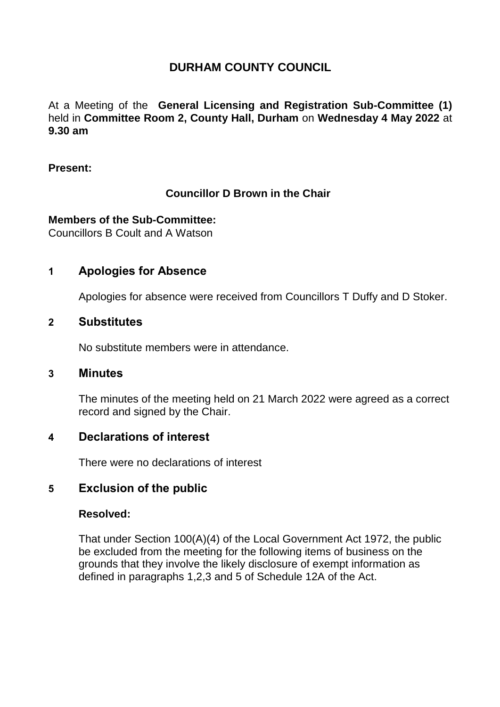# **DURHAM COUNTY COUNCIL**

At a Meeting of the **General Licensing and Registration Sub-Committee (1)** held in **Committee Room 2, County Hall, Durham** on **Wednesday 4 May 2022** at **9.30 am**

#### **Present:**

# **Councillor D Brown in the Chair**

### **Members of the Sub-Committee:**

Councillors B Coult and A Watson

# **1 Apologies for Absence**

Apologies for absence were received from Councillors T Duffy and D Stoker.

### **2 Substitutes**

No substitute members were in attendance.

### **3 Minutes**

The minutes of the meeting held on 21 March 2022 were agreed as a correct record and signed by the Chair.

## **4 Declarations of interest**

There were no declarations of interest

# **5 Exclusion of the public**

### **Resolved:**

That under Section 100(A)(4) of the Local Government Act 1972, the public be excluded from the meeting for the following items of business on the grounds that they involve the likely disclosure of exempt information as defined in paragraphs 1,2,3 and 5 of Schedule 12A of the Act.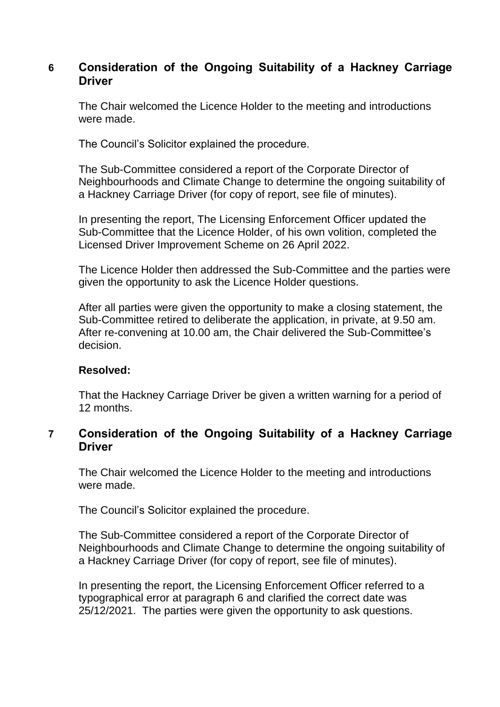# **6 Consideration of the Ongoing Suitability of a Hackney Carriage Driver**

The Chair welcomed the Licence Holder to the meeting and introductions were made.

The Council's Solicitor explained the procedure.

The Sub-Committee considered a report of the Corporate Director of Neighbourhoods and Climate Change to determine the ongoing suitability of a Hackney Carriage Driver (for copy of report, see file of minutes).

In presenting the report, The Licensing Enforcement Officer updated the Sub-Committee that the Licence Holder, of his own volition, completed the Licensed Driver Improvement Scheme on 26 April 2022.

The Licence Holder then addressed the Sub-Committee and the parties were given the opportunity to ask the Licence Holder questions.

After all parties were given the opportunity to make a closing statement, the Sub-Committee retired to deliberate the application, in private, at 9.50 am. After re-convening at 10.00 am, the Chair delivered the Sub-Committee's decision.

### **Resolved:**

That the Hackney Carriage Driver be given a written warning for a period of 12 months.

# **7 Consideration of the Ongoing Suitability of a Hackney Carriage Driver**

The Chair welcomed the Licence Holder to the meeting and introductions were made.

The Council's Solicitor explained the procedure.

The Sub-Committee considered a report of the Corporate Director of Neighbourhoods and Climate Change to determine the ongoing suitability of a Hackney Carriage Driver (for copy of report, see file of minutes).

In presenting the report, the Licensing Enforcement Officer referred to a typographical error at paragraph 6 and clarified the correct date was 25/12/2021. The parties were given the opportunity to ask questions.